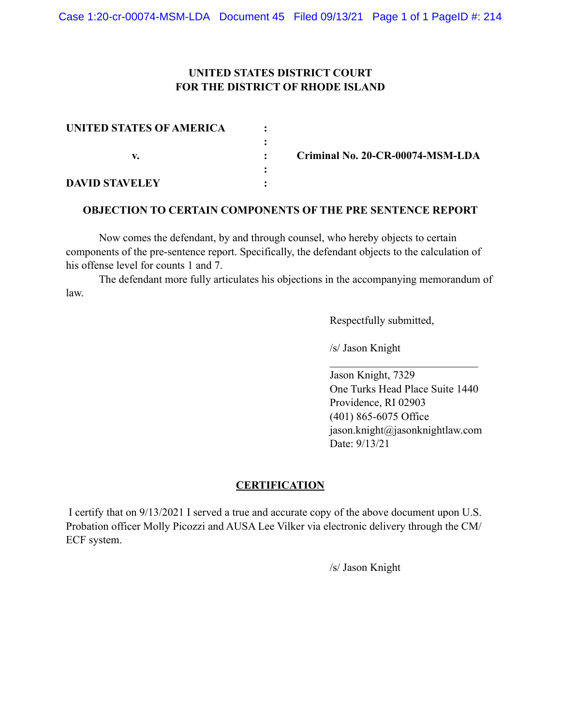# **UNITED STATES DISTRICT COURT FOR THE DISTRICT OF RHODE ISLAND**

| UNITED STATES OF AMERICA |                                  |
|--------------------------|----------------------------------|
|                          |                                  |
|                          | Criminal No. 20-CR-00074-MSM-LDA |
|                          |                                  |
| <b>DAVID STAVELEY</b>    |                                  |

### **OBJECTION TO CERTAIN COMPONENTS OF THE PRE SENTENCE REPORT**

Now comes the defendant, by and through counsel, who hereby objects to certain components of the pre-sentence report. Specifically, the defendant objects to the calculation of his offense level for counts 1 and 7.

The defendant more fully articulates his objections in the accompanying memorandum of law.

Respectfully submitted,

/s/ Jason Knight

Jason Knight, 7329 One Turks Head Place Suite 1440 Providence, RI 02903 (401) 865-6075 Office jason.knight@jasonknightlaw.com Date: 9/13/21

 $\mathcal{L}_\text{max}$ 

# **CERTIFICATION**

 I certify that on 9/13/2021 I served a true and accurate copy of the above document upon U.S. Probation officer Molly Picozzi and AUSA Lee Vilker via electronic delivery through the CM/ ECF system.

/s/ Jason Knight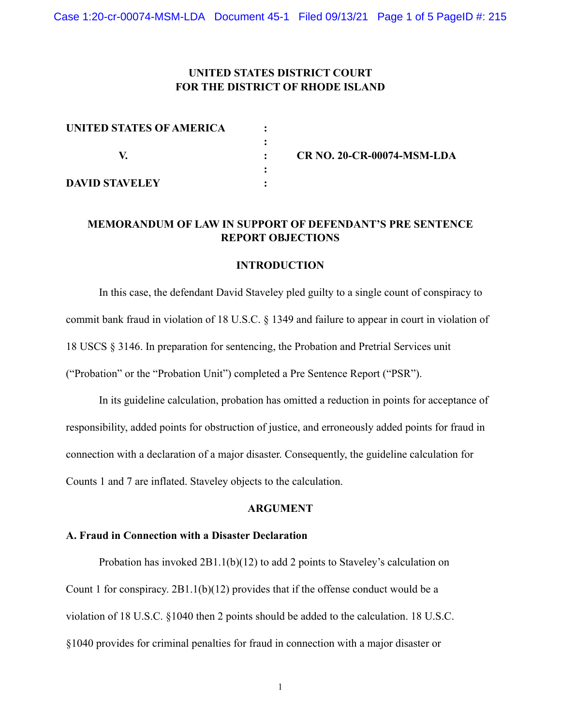## **UNITED STATES DISTRICT COURT FOR THE DISTRICT OF RHODE ISLAND**

| UNITED STATES OF AMERICA |                                   |
|--------------------------|-----------------------------------|
|                          |                                   |
|                          | <b>CR NO. 20-CR-00074-MSM-LDA</b> |
|                          |                                   |
| <b>DAVID STAVELEY</b>    |                                   |

# **MEMORANDUM OF LAW IN SUPPORT OF DEFENDANT'S PRE SENTENCE REPORT OBJECTIONS**

#### **INTRODUCTION**

In this case, the defendant David Staveley pled guilty to a single count of conspiracy to commit bank fraud in violation of 18 U.S.C. § 1349 and failure to appear in court in violation of 18 USCS § 3146. In preparation for sentencing, the Probation and Pretrial Services unit ("Probation" or the "Probation Unit") completed a Pre Sentence Report ("PSR").

In its guideline calculation, probation has omitted a reduction in points for acceptance of responsibility, added points for obstruction of justice, and erroneously added points for fraud in connection with a declaration of a major disaster. Consequently, the guideline calculation for Counts 1 and 7 are inflated. Staveley objects to the calculation.

#### **ARGUMENT**

### **A. Fraud in Connection with a Disaster Declaration**

Probation has invoked 2B1.1(b)(12) to add 2 points to Staveley's calculation on Count 1 for conspiracy. 2B1.1(b)(12) provides that if the offense conduct would be a violation of 18 U.S.C. §1040 then 2 points should be added to the calculation. 18 U.S.C. §1040 provides for criminal penalties for fraud in connection with a major disaster or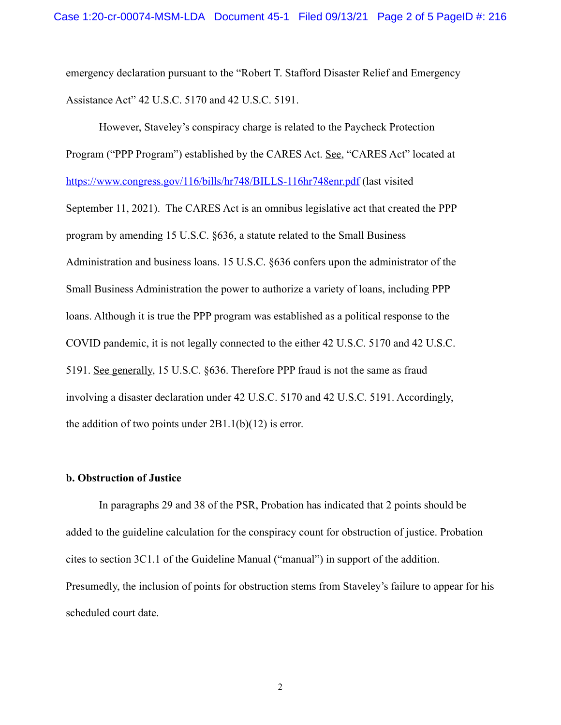emergency declaration pursuant to the "Robert T. Stafford Disaster Relief and Emergency Assistance Act" 42 U.S.C. 5170 and 42 U.S.C. 5191.

However, Staveley's conspiracy charge is related to the Paycheck Protection Program ("PPP Program") established by the CARES Act. See, "CARES Act" located at <https://www.congress.gov/116/bills/hr748/BILLS-116hr748enr.pdf>(last visited September 11, 2021). The CARES Act is an omnibus legislative act that created the PPP program by amending 15 U.S.C. §636, a statute related to the Small Business Administration and business loans. 15 U.S.C. §636 confers upon the administrator of the Small Business Administration the power to authorize a variety of loans, including PPP loans. Although it is true the PPP program was established as a political response to the COVID pandemic, it is not legally connected to the either 42 U.S.C. 5170 and 42 U.S.C. 5191. See generally, 15 U.S.C. §636. Therefore PPP fraud is not the same as fraud involving a disaster declaration under 42 U.S.C. 5170 and 42 U.S.C. 5191. Accordingly, the addition of two points under  $2B1.1(b)(12)$  is error.

### **b. Obstruction of Justice**

In paragraphs 29 and 38 of the PSR, Probation has indicated that 2 points should be added to the guideline calculation for the conspiracy count for obstruction of justice. Probation cites to section 3C1.1 of the Guideline Manual ("manual") in support of the addition. Presumedly, the inclusion of points for obstruction stems from Staveley's failure to appear for his scheduled court date.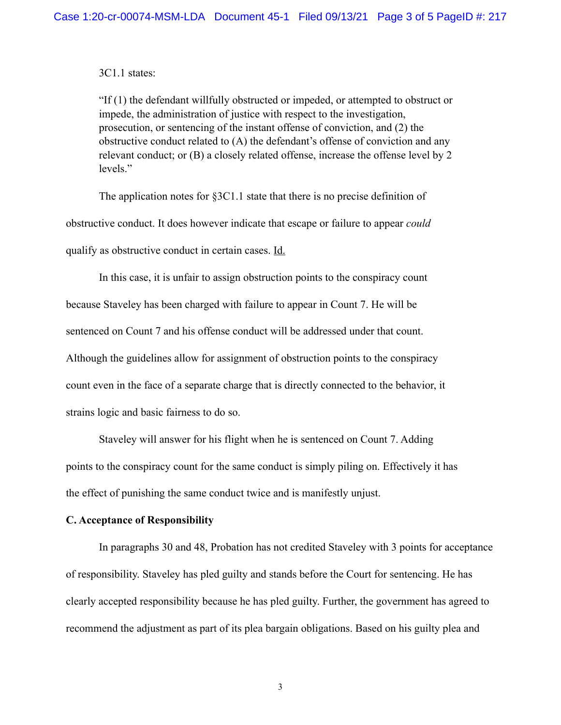3C1.1 states:

"If (1) the defendant willfully obstructed or impeded, or attempted to obstruct or impede, the administration of justice with respect to the investigation, prosecution, or sentencing of the instant offense of conviction, and (2) the obstructive conduct related to (A) the defendant's offense of conviction and any relevant conduct; or (B) a closely related offense, increase the offense level by 2 levels."

The application notes for §3C1.1 state that there is no precise definition of obstructive conduct. It does however indicate that escape or failure to appear *could* qualify as obstructive conduct in certain cases. Id.

In this case, it is unfair to assign obstruction points to the conspiracy count because Staveley has been charged with failure to appear in Count 7. He will be sentenced on Count 7 and his offense conduct will be addressed under that count. Although the guidelines allow for assignment of obstruction points to the conspiracy count even in the face of a separate charge that is directly connected to the behavior, it strains logic and basic fairness to do so.

Staveley will answer for his flight when he is sentenced on Count 7. Adding points to the conspiracy count for the same conduct is simply piling on. Effectively it has the effect of punishing the same conduct twice and is manifestly unjust.

#### **C. Acceptance of Responsibility**

In paragraphs 30 and 48, Probation has not credited Staveley with 3 points for acceptance of responsibility. Staveley has pled guilty and stands before the Court for sentencing. He has clearly accepted responsibility because he has pled guilty. Further, the government has agreed to recommend the adjustment as part of its plea bargain obligations. Based on his guilty plea and

3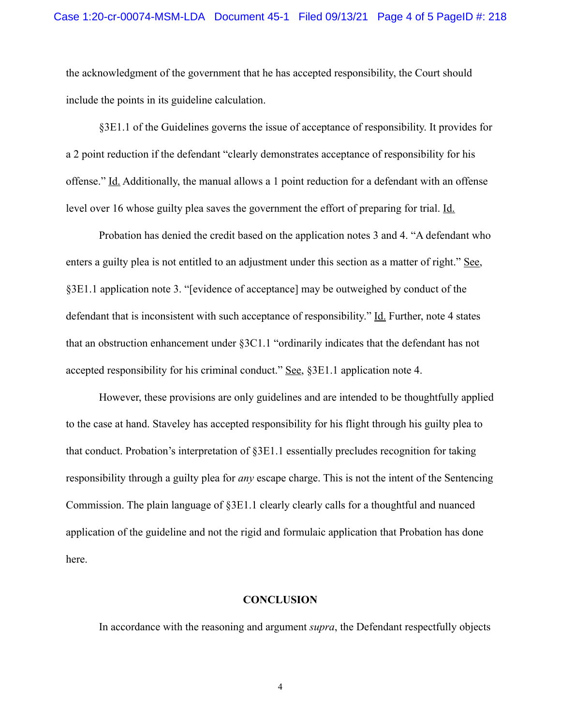the acknowledgment of the government that he has accepted responsibility, the Court should include the points in its guideline calculation.

§3E1.1 of the Guidelines governs the issue of acceptance of responsibility. It provides for a 2 point reduction if the defendant "clearly demonstrates acceptance of responsibility for his offense." Id. Additionally, the manual allows a 1 point reduction for a defendant with an offense level over 16 whose guilty plea saves the government the effort of preparing for trial. Id.

Probation has denied the credit based on the application notes 3 and 4. "A defendant who enters a guilty plea is not entitled to an adjustment under this section as a matter of right." See, §3E1.1 application note 3. "[evidence of acceptance] may be outweighed by conduct of the defendant that is inconsistent with such acceptance of responsibility." Id. Further, note 4 states that an obstruction enhancement under §3C1.1 "ordinarily indicates that the defendant has not accepted responsibility for his criminal conduct." See, §3E1.1 application note 4.

However, these provisions are only guidelines and are intended to be thoughtfully applied to the case at hand. Staveley has accepted responsibility for his flight through his guilty plea to that conduct. Probation's interpretation of §3E1.1 essentially precludes recognition for taking responsibility through a guilty plea for *any* escape charge. This is not the intent of the Sentencing Commission. The plain language of §3E1.1 clearly clearly calls for a thoughtful and nuanced application of the guideline and not the rigid and formulaic application that Probation has done here.

### **CONCLUSION**

In accordance with the reasoning and argument *supra*, the Defendant respectfully objects

4